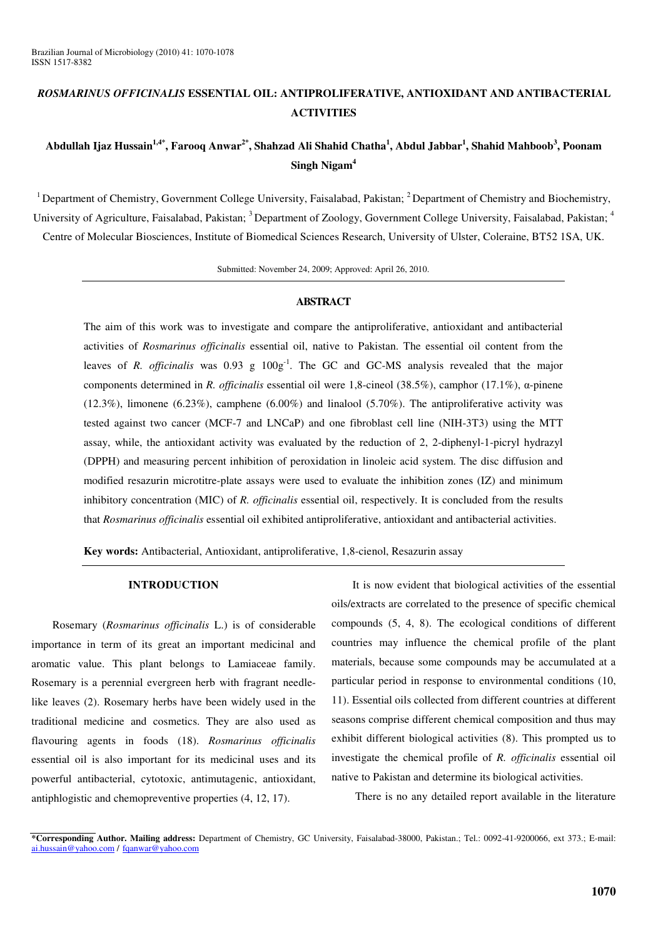# *ROSMARINUS OFFICINALIS* **ESSENTIAL OIL: ANTIPROLIFERATIVE, ANTIOXIDANT AND ANTIBACTERIAL ACTIVITIES**

# Abdullah Ijaz Hussain<sup>1,4\*</sup>, Farooq Anwar<sup>2\*</sup>, Shahzad Ali Shahid Chatha<sup>1</sup>, Abdul Jabbar<sup>1</sup>, Shahid Mahboob<sup>3</sup>, Poonam **Singh Nigam 4**

<sup>1</sup> Department of Chemistry, Government College University, Faisalabad, Pakistan;  $2$  Department of Chemistry and Biochemistry, University of Agriculture, Faisalabad, Pakistan; <sup>3</sup> Department of Zoology, Government College University, Faisalabad, Pakistan; <sup>4</sup> Centre of Molecular Biosciences, Institute of Biomedical Sciences Research, University of Ulster, Coleraine, BT52 1SA, UK.

Submitted: November 24, 2009; Approved: April 26, 2010.

#### **ABSTRACT**

The aim of this work was to investigate and compare the antiproliferative, antioxidant and antibacterial activities of *Rosmarinus officinalis* essential oil, native to Pakistan. The essential oil content from the leaves of *R. officinalis* was 0.93 g 100g<sup>-1</sup>. The GC and GC-MS analysis revealed that the major components determined in *R. officinalis* essential oil were 1,8-cineol (38.5%), camphor (17.1%),  $\alpha$ -pinene  $(12.3\%)$ , limonene  $(6.23\%)$ , camphene  $(6.00\%)$  and linalool  $(5.70\%)$ . The antiproliferative activity was tested against two cancer (MCF-7 and LNCaP) and one fibroblast cell line (NIH-3T3) using the MTT assay, while, the antioxidant activity was evaluated by the reduction of 2, 2-diphenyl-1-picryl hydrazyl (DPPH) and measuring percent inhibition of peroxidation in linoleic acid system. The disc diffusion and modified resazurin microtitre-plate assays were used to evaluate the inhibition zones (IZ) and minimum inhibitory concentration (MIC) of *R. officinalis* essential oil, respectively. It is concluded from the results that *Rosmarinus officinalis* essential oil exhibited antiproliferative, antioxidant and antibacterial activities.

**Key words:** Antibacterial, Antioxidant, antiproliferative, 1,8-cienol, Resazurin assay

# **INTRODUCTION**

Rosemary (*Rosmarinus officinalis* L.) is of considerable importance in term of its great an important medicinal and aromatic value. This plant belongs to Lamiaceae family. Rosemary is a perennial evergreen herb with fragrant needlelike leaves (2). Rosemary herbs have been widely used in the traditional medicine and cosmetics. They are also used as flavouring agents in foods (18). *Rosmarinus officinalis* essential oil is also important for its medicinal uses and its powerful antibacterial, cytotoxic, antimutagenic, antioxidant, antiphlogistic and chemopreventive properties (4, 12, 17).

It is now evident that biological activities of the essential oils/extracts are correlated to the presence of specific chemical compounds (5, 4, 8). The ecological conditions of different countries may influence the chemical profile of the plant materials, because some compounds may be accumulated at a particular period in response to environmental conditions (10, 11). Essential oils collected from different countries at different seasons comprise different chemical composition and thus may exhibit different biological activities (8). This prompted us to investigate the chemical profile of *R. officinalis* essential oil native to Pakistan and determine its biological activities.

There is no any detailed report available in the literature

**<sup>\*</sup>Corresponding Author. Mailing address:** Department of Chemistry, GC University, Faisalabad-38000, Pakistan.; Tel.: 0092-41-9200066, ext 373.; E-mail: ai.hussain@yahoo.com / fqanwar@yahoo.com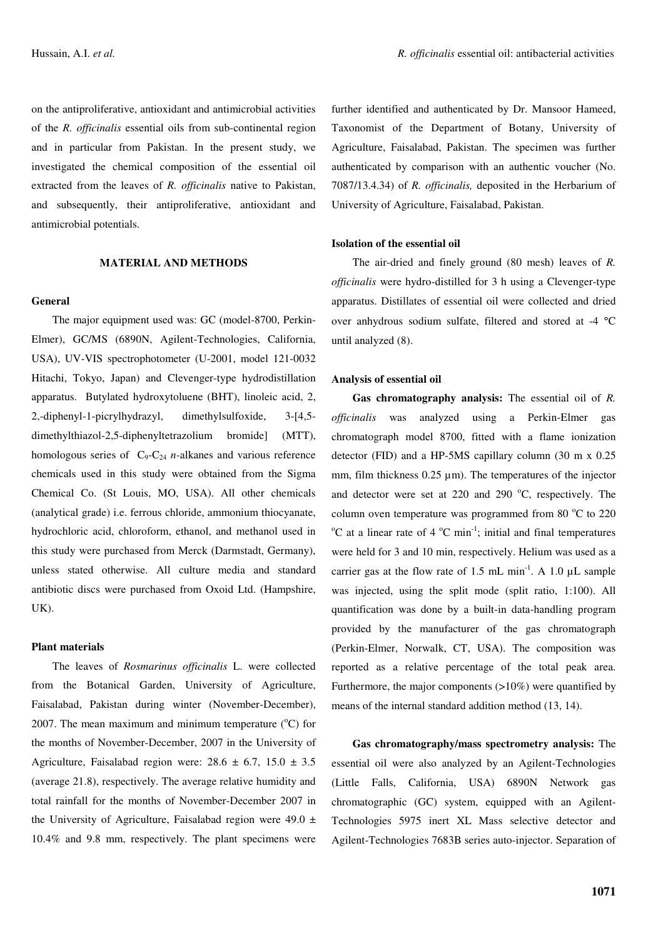on the antiproliferative, antioxidant and antimicrobial activities of the *R. officinalis* essential oils from sub-continental region and in particular from Pakistan. In the present study, we investigated the chemical composition of the essential oil extracted from the leaves of *R. officinalis* native to Pakistan, and subsequently, their antiproliferative, antioxidant and antimicrobial potentials.

# **MATERIAL AND METHODS**

# **General**

The major equipment used was: GC (model-8700, Perkin-Elmer), GC/MS (6890N, Agilent-Technologies, California, USA), UV-VIS spectrophotometer (U-2001, model 121-0032 Hitachi, Tokyo, Japan) and Clevenger-type hydrodistillation apparatus. Butylated hydroxytoluene (BHT), linoleic acid, 2, 2,-diphenyl-1-picrylhydrazyl, dimethylsulfoxide, 3-[4,5 dimethylthiazol-2,5-diphenyltetrazolium bromide] (MTT), homologous series of  $C_9 - C_{24}$  *n*-alkanes and various reference chemicals used in this study were obtained from the Sigma Chemical Co. (St Louis, MO, USA). All other chemicals (analytical grade) i.e. ferrous chloride, ammonium thiocyanate, hydrochloric acid, chloroform, ethanol, and methanol used in this study were purchased from Merck (Darmstadt, Germany), unless stated otherwise. All culture media and standard antibiotic discs were purchased from Oxoid Ltd. (Hampshire, UK).

### **Plant materials**

The leaves of *Rosmarinus officinalis* L. were collected from the Botanical Garden, University of Agriculture, Faisalabad, Pakistan during winter (November-December), 2007. The mean maximum and minimum temperature  $(^{\circ}C)$  for the months of November-December, 2007 in the University of Agriculture, Faisalabad region were:  $28.6 \pm 6.7$ ,  $15.0 \pm 3.5$ (average 21.8), respectively. The average relative humidity and total rainfall for the months of November-December 2007 in the University of Agriculture, Faisalabad region were  $49.0 \pm$ 10.4% and 9.8 mm, respectively. The plant specimens were

further identified and authenticated by Dr. Mansoor Hameed, Taxonomist of the Department of Botany, University of Agriculture, Faisalabad, Pakistan. The specimen was further authenticated by comparison with an authentic voucher (No. 7087/13.4.34) of *R. officinalis,* deposited in the Herbarium of University of Agriculture, Faisalabad, Pakistan.

### **Isolation of the essential oil**

The air-dried and finely ground (80 mesh) leaves of *R. officinalis* were hydro-distilled for 3 h using a Clevenger-type apparatus. Distillates of essential oil were collected and dried over anhydrous sodium sulfate, filtered and stored at -4 °C until analyzed (8).

### **Analysis of essential oil**

**Gas chromatography analysis:** The essential oil of *R. officinalis* was analyzed using a Perkin-Elmer gas chromatograph model 8700, fitted with a flame ionization detector (FID) and a HP-5MS capillary column (30 m x 0.25 mm, film thickness 0.25  $\mu$ m). The temperatures of the injector and detector were set at  $220$  and  $290$  °C, respectively. The column oven temperature was programmed from 80 $^{\circ}$ C to 220  $\rm{^{\circ}C}$  at a linear rate of 4  $\rm{^{\circ}C}$  min<sup>-1</sup>; initial and final temperatures were held for 3 and 10 min, respectively. Helium was used as a carrier gas at the flow rate of 1.5 mL min<sup>-1</sup>. A 1.0  $\mu$ L sample was injected, using the split mode (split ratio, 1:100). All quantification was done by a built-in data-handling program provided by the manufacturer of the gas chromatograph (Perkin-Elmer, Norwalk, CT, USA). The composition was reported as a relative percentage of the total peak area. Furthermore, the major components  $(>10\%)$  were quantified by means of the internal standard addition method (13, 14).

**Gas chromatography/mass spectrometry analysis:** The essential oil were also analyzed by an Agilent-Technologies (Little Falls, California, USA) 6890N Network gas chromatographic (GC) system, equipped with an Agilent-Technologies 5975 inert XL Mass selective detector and Agilent-Technologies 7683B series auto-injector. Separation of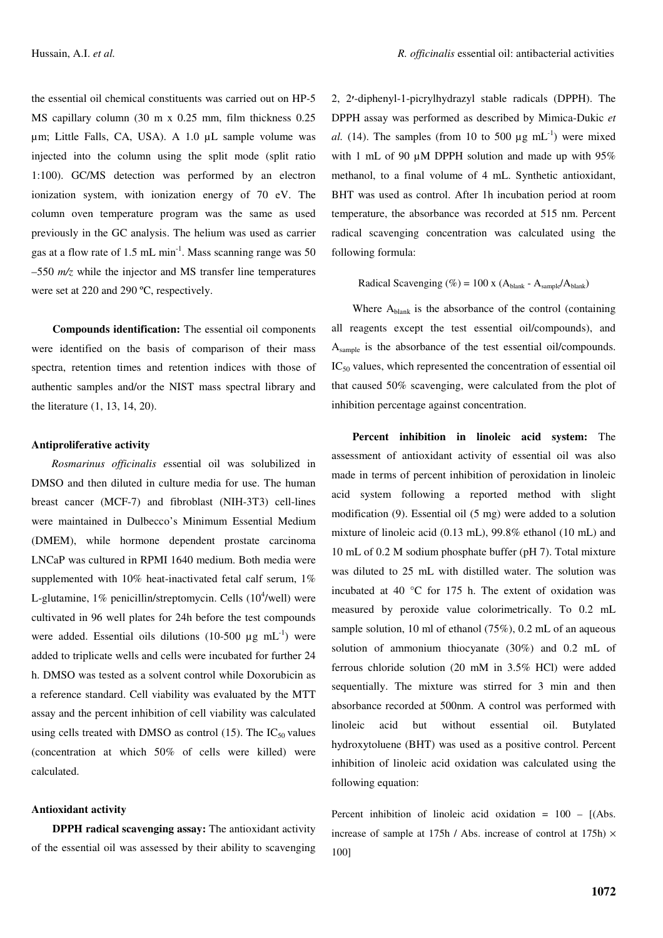the essential oil chemical constituents was carried out on HP-5 MS capillary column (30 m x 0.25 mm, film thickness 0.25 µm; Little Falls, CA, USA). A 1.0 µL sample volume was injected into the column using the split mode (split ratio 1:100). GC/MS detection was performed by an electron ionization system, with ionization energy of 70 eV. The column oven temperature program was the same as used previously in the GC analysis. The helium was used as carrier gas at a flow rate of 1.5 mL min<sup>-1</sup>. Mass scanning range was 50 –550 *m/z* while the injector and MS transfer line temperatures were set at 220 and 290 ºC, respectively.

**Compounds identification:** The essential oil components were identified on the basis of comparison of their mass spectra, retention times and retention indices with those of authentic samples and/or the NIST mass spectral library and the literature (1, 13, 14, 20).

# **Antiproliferative activity**

*Rosmarinus officinalis e*ssential oil was solubilized in DMSO and then diluted in culture media for use. The human breast cancer (MCF-7) and fibroblast (NIH-3T3) cell-lines were maintained in Dulbecco's Minimum Essential Medium (DMEM), while hormone dependent prostate carcinoma LNCaP was cultured in RPMI 1640 medium. Both media were supplemented with 10% heat-inactivated fetal calf serum, 1% L-glutamine, 1% penicillin/streptomycin. Cells (10<sup>4</sup>/well) were cultivated in 96 well plates for 24h before the test compounds were added. Essential oils dilutions (10-500  $\mu$ g mL<sup>-1</sup>) were added to triplicate wells and cells were incubated for further 24 h. DMSO was tested as a solvent control while Doxorubicin as a reference standard. Cell viability was evaluated by the MTT assay and the percent inhibition of cell viability was calculated using cells treated with DMSO as control (15). The  $IC_{50}$  values (concentration at which 50% of cells were killed) were calculated.

# **Antioxidant activity**

**DPPH radical scavenging assay:** The antioxidant activity of the essential oil was assessed by their ability to scavenging 2, 2-diphenyl-1-picrylhydrazyl stable radicals (DPPH). The DPPH assay was performed as described by Mimica-Dukic *et* al. (14). The samples (from 10 to 500  $\mu$ g mL<sup>-1</sup>) were mixed with 1 mL of 90  $\mu$ M DPPH solution and made up with 95% methanol, to a final volume of 4 mL. Synthetic antioxidant, BHT was used as control. After 1h incubation period at room temperature, the absorbance was recorded at 515 nm. Percent radical scavenging concentration was calculated using the following formula:

Radical Scavenging (%) = 100 x ( $A_{\text{blank}}$  -  $A_{\text{sample}}/A_{\text{blank}}$ )

Where A<sub>blank</sub> is the absorbance of the control (containing all reagents except the test essential oil/compounds), and A<sub>sample</sub> is the absorbance of the test essential oil/compounds.  $IC_{50}$  values, which represented the concentration of essential oil that caused 50% scavenging, were calculated from the plot of inhibition percentage against concentration.

**Percent inhibition in linoleic acid system:** The assessment of antioxidant activity of essential oil was also made in terms of percent inhibition of peroxidation in linoleic acid system following a reported method with slight modification (9). Essential oil (5 mg) were added to a solution mixture of linoleic acid (0.13 mL), 99.8% ethanol (10 mL) and 10 mL of 0.2 M sodium phosphate buffer (pH 7). Total mixture was diluted to 25 mL with distilled water. The solution was incubated at 40 °C for 175 h. The extent of oxidation was measured by peroxide value colorimetrically. To 0.2 mL sample solution, 10 ml of ethanol (75%), 0.2 mL of an aqueous solution of ammonium thiocyanate (30%) and 0.2 mL of ferrous chloride solution (20 mM in 3.5% HCl) were added sequentially. The mixture was stirred for 3 min and then absorbance recorded at 500nm. A control was performed with linoleic acid but without essential oil. Butylated hydroxytoluene (BHT) was used as a positive control. Percent inhibition of linoleic acid oxidation was calculated using the following equation:

Percent inhibition of linoleic acid oxidation =  $100 - [(Abs.$ increase of sample at 175h / Abs. increase of control at 175h)  $\times$ 100]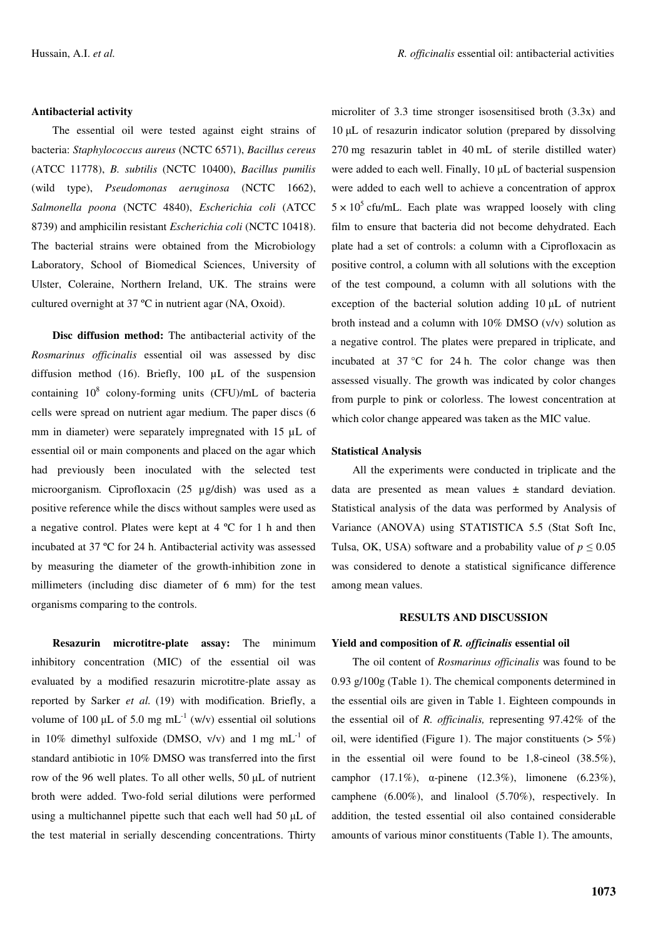#### **Antibacterial activity**

The essential oil were tested against eight strains of bacteria: *Staphylococcus aureus* (NCTC 6571), *Bacillus cereus* (ATCC 11778), *B. subtilis* (NCTC 10400), *Bacillus pumilis* (wild type), *Pseudomonas aeruginosa* (NCTC 1662), *Salmonella poona* (NCTC 4840), *Escherichia coli* (ATCC 8739) and amphicilin resistant *Escherichia coli* (NCTC 10418). The bacterial strains were obtained from the Microbiology Laboratory, School of Biomedical Sciences, University of Ulster, Coleraine, Northern Ireland, UK. The strains were cultured overnight at 37 ºC in nutrient agar (NA, Oxoid).

**Disc diffusion method:** The antibacterial activity of the *Rosmarinus officinalis* essential oil was assessed by disc diffusion method (16). Briefly, 100 µL of the suspension containing 10<sup>8</sup> colony-forming units (CFU)/mL of bacteria cells were spread on nutrient agar medium. The paper discs (6 mm in diameter) were separately impregnated with 15  $\mu$ L of essential oil or main components and placed on the agar which had previously been inoculated with the selected test microorganism. Ciprofloxacin (25 µg/dish) was used as a positive reference while the discs without samples were used as a negative control. Plates were kept at 4 ºC for 1 h and then incubated at 37 ºC for 24 h. Antibacterial activity was assessed by measuring the diameter of the growth-inhibition zone in millimeters (including disc diameter of 6 mm) for the test organisms comparing to the controls.

**Resazurin microtitre-plate assay:** The minimum inhibitory concentration (MIC) of the essential oil was evaluated by a modified resazurin microtitre-plate assay as reported by Sarker *et al.* (19) with modification. Briefly, a volume of 100  $\mu$ L of 5.0 mg mL<sup>-1</sup> (w/v) essential oil solutions in 10% dimethyl sulfoxide (DMSO,  $v/v$ ) and 1 mg mL<sup>-1</sup> of standard antibiotic in 10% DMSO was transferred into the first row of the 96 well plates. To all other wells,  $50 \mu L$  of nutrient broth were added. Two-fold serial dilutions were performed using a multichannel pipette such that each well had  $50 \mu L$  of the test material in serially descending concentrations. Thirty microliter of 3.3 time stronger isosensitised broth (3.3x) and 10 µL of resazurin indicator solution (prepared by dissolving 270 mg resazurin tablet in 40 mL of sterile distilled water) were added to each well. Finally,  $10 \mu L$  of bacterial suspension were added to each well to achieve a concentration of approx  $5 \times 10^5$  cfu/mL. Each plate was wrapped loosely with cling film to ensure that bacteria did not become dehydrated. Each plate had a set of controls: a column with a Ciprofloxacin as positive control, a column with all solutions with the exception of the test compound, a column with all solutions with the exception of the bacterial solution adding  $10 \mu L$  of nutrient broth instead and a column with 10% DMSO (v/v) solution as a negative control. The plates were prepared in triplicate, and incubated at 37 °C for 24 h. The color change was then assessed visually. The growth was indicated by color changes from purple to pink or colorless. The lowest concentration at which color change appeared was taken as the MIC value.

#### **Statistical Analysis**

All the experiments were conducted in triplicate and the data are presented as mean values ± standard deviation. Statistical analysis of the data was performed by Analysis of Variance (ANOVA) using STATISTICA 5.5 (Stat Soft Inc, Tulsa, OK, USA) software and a probability value of  $p \leq 0.05$ was considered to denote a statistical significance difference among mean values.

# **RESULTS AND DISCUSSION**

#### **Yield and composition of** *R. officinalis* **essential oil**

The oil content of *Rosmarinus officinalis* was found to be 0.93 g/100g (Table 1). The chemical components determined in the essential oils are given in Table 1. Eighteen compounds in the essential oil of *R. officinalis,* representing 97.42% of the oil, were identified (Figure 1). The major constituents  $(5.5\%)$ in the essential oil were found to be 1,8-cineol (38.5%), camphor  $(17.1\%)$ ,  $\alpha$ -pinene  $(12.3\%)$ , limonene  $(6.23\%)$ , camphene (6.00%), and linalool (5.70%), respectively. In addition, the tested essential oil also contained considerable amounts of various minor constituents (Table 1). The amounts,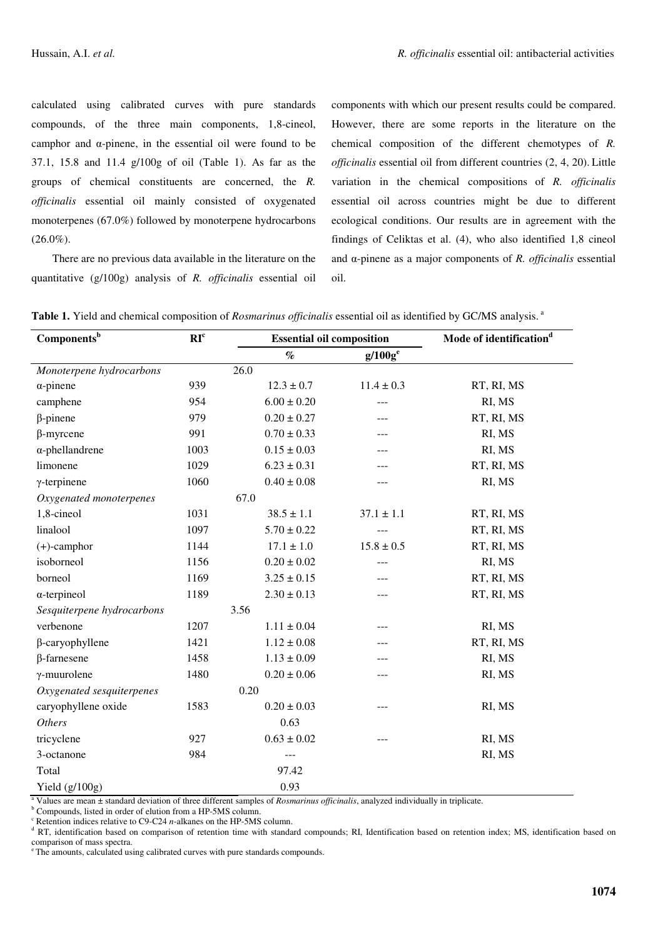calculated using calibrated curves with pure standards compounds, of the three main components, 1,8-cineol, camphor and  $\alpha$ -pinene, in the essential oil were found to be 37.1, 15.8 and 11.4 g/100g of oil (Table 1). As far as the groups of chemical constituents are concerned, the *R. officinalis* essential oil mainly consisted of oxygenated monoterpenes (67.0%) followed by monoterpene hydrocarbons  $(26.0\%).$ 

There are no previous data available in the literature on the quantitative (g/100g) analysis of *R. officinalis* essential oil components with which our present results could be compared. However, there are some reports in the literature on the chemical composition of the different chemotypes of *R. officinalis* essential oil from different countries (2, 4, 20). Little variation in the chemical compositions of *R. officinalis* essential oil across countries might be due to different ecological conditions. Our results are in agreement with the findings of Celiktas et al. (4), who also identified 1,8 cineol and  $\alpha$ -pinene as a major components of *R. officinalis* essential oil.

| Components <sup>b</sup>    | RI <sup>c</sup> |                 | <b>Essential oil composition</b> | Mode of identification <sup>d</sup> |
|----------------------------|-----------------|-----------------|----------------------------------|-------------------------------------|
|                            |                 | $\%$            | $g/100g^e$                       |                                     |
| Monoterpene hydrocarbons   |                 | 26.0            |                                  |                                     |
| $\alpha$ -pinene           | 939             | $12.3 \pm 0.7$  | $11.4 \pm 0.3$                   | RT, RI, MS                          |
| camphene                   | 954             | $6.00 \pm 0.20$ | ---                              | RI, MS                              |
| $\beta$ -pinene            | 979             | $0.20 \pm 0.27$ | ---                              | RT, RI, MS                          |
| $\beta$ -myrcene           | 991             | $0.70 \pm 0.33$ |                                  | RI, MS                              |
| $\alpha$ -phellandrene     | 1003            | $0.15 \pm 0.03$ | ---                              | RI, MS                              |
| limonene                   | 1029            | $6.23 \pm 0.31$ | ---                              | RT, RI, MS                          |
| $\gamma$ -terpinene        | 1060            | $0.40 \pm 0.08$ | ---                              | RI, MS                              |
| Oxygenated monoterpenes    |                 | 67.0            |                                  |                                     |
| 1,8-cineol                 | 1031            | $38.5 \pm 1.1$  | $37.1 \pm 1.1$                   | RT, RI, MS                          |
| linalool                   | 1097            | $5.70 \pm 0.22$ |                                  | RT, RI, MS                          |
| $(+)$ -camphor             | 1144            | $17.1 \pm 1.0$  | $15.8 \pm 0.5$                   | RT, RI, MS                          |
| isoborneol                 | 1156            | $0.20 \pm 0.02$ | ---                              | RI, MS                              |
| borneol                    | 1169            | $3.25 \pm 0.15$ | ---                              | RT, RI, MS                          |
| $\alpha$ -terpineol        | 1189            | $2.30 \pm 0.13$ | ---                              | RT, RI, MS                          |
| Sesquiterpene hydrocarbons |                 | 3.56            |                                  |                                     |
| verbenone                  | 1207            | $1.11 \pm 0.04$ | ---                              | RI, MS                              |
| $\beta$ -caryophyllene     | 1421            | $1.12 \pm 0.08$ | ---                              | RT, RI, MS                          |
| $\beta$ -farnesene         | 1458            | $1.13 \pm 0.09$ | ---                              | RI, MS                              |
| $\gamma$ -muurolene        | 1480            | $0.20 \pm 0.06$ | ---                              | RI, MS                              |
| Oxygenated sesquiterpenes  |                 | 0.20            |                                  |                                     |
| caryophyllene oxide        | 1583            | $0.20 \pm 0.03$ | ---                              | RI, MS                              |
| <b>Others</b>              |                 | 0.63            |                                  |                                     |
| tricyclene                 | 927             | $0.63 \pm 0.02$ |                                  | RI, MS                              |
| 3-octanone                 | 984             | ---             |                                  | RI, MS                              |
| Total                      |                 | 97.42           |                                  |                                     |
| Yield $(g/100g)$           |                 | 0.93            |                                  |                                     |

**Table 1.** Yield and chemical composition of *Rosmarinus officinalis* essential oil as identified by GC/MS analysis. a

<sup>a</sup> Values are mean ± standard deviation of three different samples of *Rosmarinus officinalis*, analyzed individually in triplicate.

<sup>b</sup> Compounds, listed in order of elution from a HP-5MS column.

 $\textdegree$  Retention indices relative to C9-C24 *n*-alkanes on the HP-5MS column.

<sup>d</sup> RT, identification based on comparison of retention time with standard compounds; RI, Identification based on retention index; MS, identification based on comparison of mass spectra.

<sup>e</sup> The amounts, calculated using calibrated curves with pure standards compounds.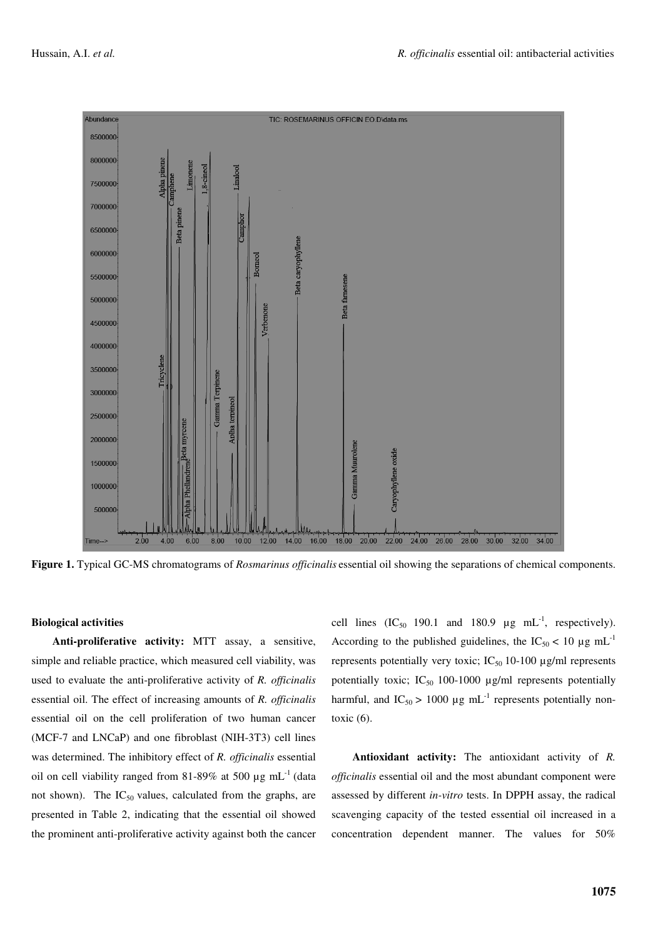

**Figure 1.** Typical GC-MS chromatograms of *Rosmarinus officinalis* essential oil showing the separations of chemical components.

# **Biological activities**

**Anti-proliferative activity:** MTT assay, a sensitive, simple and reliable practice, which measured cell viability, was used to evaluate the anti-proliferative activity of *R. officinalis* essential oil. The effect of increasing amounts of *R. officinalis* essential oil on the cell proliferation of two human cancer (MCF-7 and LNCaP) and one fibroblast (NIH-3T3) cell lines was determined. The inhibitory effect of *R. officinalis* essential oil on cell viability ranged from 81-89% at 500  $\mu$ g mL<sup>-1</sup> (data not shown). The  $IC_{50}$  values, calculated from the graphs, are presented in Table 2, indicating that the essential oil showed the prominent anti-proliferative activity against both the cancer

cell lines  $(IC_{50}$  190.1 and 180.9  $\mu$ g mL<sup>-1</sup>, respectively). According to the published guidelines, the  $IC_{50}$  < 10  $\mu$ g mL<sup>-1</sup> represents potentially very toxic; IC $_{50}$  10-100  $\mu$ g/ml represents potentially toxic; IC $_{50}$  100-1000  $\mu$ g/ml represents potentially harmful, and  $IC_{50} > 1000 \mu g \text{ mL}^{-1}$  represents potentially nontoxic  $(6)$ .

**Antioxidant activity:** The antioxidant activity of *R. officinalis* essential oil and the most abundant component were assessed by different *in-vitro* tests. In DPPH assay, the radical scavenging capacity of the tested essential oil increased in a concentration dependent manner. The values for 50%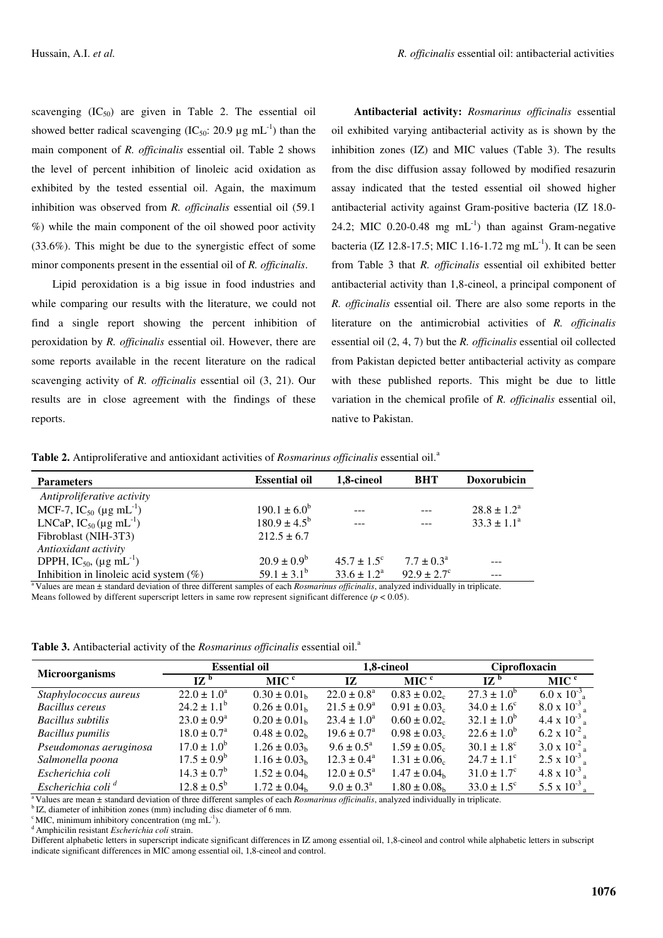scavenging  $(IC_{50})$  are given in Table 2. The essential oil showed better radical scavenging (IC<sub>50</sub>: 20.9  $\mu$ g mL<sup>-1</sup>) than the main component of *R. officinalis* essential oil. Table 2 shows the level of percent inhibition of linoleic acid oxidation as exhibited by the tested essential oil. Again, the maximum inhibition was observed from *R. officinalis* essential oil (59.1 %) while the main component of the oil showed poor activity (33.6%). This might be due to the synergistic effect of some minor components present in the essential oil of *R. officinalis*.

Lipid peroxidation is a big issue in food industries and while comparing our results with the literature, we could not find a single report showing the percent inhibition of peroxidation by *R. officinalis* essential oil. However, there are some reports available in the recent literature on the radical scavenging activity of *R. officinalis* essential oil (3, 21). Our results are in close agreement with the findings of these reports.

**Antibacterial activity:** *Rosmarinus officinalis* essential oil exhibited varying antibacterial activity as is shown by the inhibition zones (IZ) and MIC values (Table 3). The results from the disc diffusion assay followed by modified resazurin assay indicated that the tested essential oil showed higher antibacterial activity against Gram-positive bacteria (IZ 18.0- 24.2; MIC 0.20-0.48 mg  $mL^{-1}$ ) than against Gram-negative bacteria (IZ 12.8-17.5; MIC 1.16-1.72 mg mL<sup>-1</sup>). It can be seen from Table 3 that *R. officinalis* essential oil exhibited better antibacterial activity than 1,8-cineol, a principal component of *R. officinalis* essential oil. There are also some reports in the literature on the antimicrobial activities of *R. officinalis* essential oil (2, 4, 7) but the *R. officinalis* essential oil collected from Pakistan depicted better antibacterial activity as compare with these published reports. This might be due to little variation in the chemical profile of *R. officinalis* essential oil, native to Pakistan.

**Table 2.** Antiproliferative and antioxidant activities of *Rosmarinus officinalis* essential oil. a

| <b>Parameters</b>                               | <b>Essential oil</b>    | 1,8-cineol           | <b>BHT</b>             | <b>Doxorubicin</b>     |
|-------------------------------------------------|-------------------------|----------------------|------------------------|------------------------|
| Antiproliferative activity                      |                         |                      |                        |                        |
| MCF-7, $IC_{50}$ (µg mL <sup>-1</sup> )         | $190.1 \pm 6.0^b$       | $- - -$              |                        | $28.8 \pm 1.2^{\circ}$ |
| LNCaP, $IC_{50}$ ( $\mu$ g mL <sup>-1</sup> )   | $180.9 \pm 4.5^{\rm b}$ |                      |                        | $33.3 \pm 1.1^a$       |
| Fibroblast (NIH-3T3)                            | $212.5 \pm 6.7$         |                      |                        |                        |
| Antioxidant activity                            |                         |                      |                        |                        |
| DPPH, IC <sub>50</sub> , (µg mL <sup>-1</sup> ) | $20.9 \pm 0.9^{\circ}$  | $45.7 + 1.5^{\circ}$ | $7.7 + 0.3a$           |                        |
| Inhibition in linoleic acid system $(\%)$       | $59.1 \pm 3.1^{\rm b}$  | $33.6 \pm 1.2^a$     | $92.9 \pm 2.7^{\circ}$ |                        |

<sup>a</sup> Values are mean ± standard deviation of three different samples of each *Rosmarinus officinalis*, analyzed individually in triplicate. Means followed by different superscript letters in same row represent significant difference (*p* < 0.05).

**Table 3.** Antibacterial activity of the *Rosmarinus officinalis* essential oil. a

| <b>Microorganisms</b>         | <b>Essential oil</b>      |                              | 1.8-cineol                |                              | Ciprofloxacin                        |                              |
|-------------------------------|---------------------------|------------------------------|---------------------------|------------------------------|--------------------------------------|------------------------------|
|                               | $IZ^b$                    | MIC $\degree$                | 17                        | MIC <sup>c</sup>             | $\mathbf{I} \mathbf{Z}^{\mathbf{b}}$ | MIC <sup>c</sup>             |
| Staphylococcus aureus         | $22.0 \pm 1.0^a$          | $0.30 \pm 0.01_h$            | $22.0 \pm 0.8^a$          | $0.83 \pm 0.02$ <sub>c</sub> | $27.3 \pm 1.0^b$                     | $6.0 \times 10^{-3}$         |
| <b>Bacillus cereus</b>        | $24.2 \pm 1.1^{\rm b}$    | $0.26 \pm 0.01_h$            | $21.5 \pm 0.9^a$          | $0.91 \pm 0.03$ <sub>c</sub> | $34.0 \pm 1.6^{\circ}$               | $8.0 \times 10^{-3}$         |
| <b>Bacillus</b> subtilis      | $23.0 \pm 0.9^{\rm a}$    | $0.20 \pm 0.01_h$            | $23.4 \pm 1.0^a$          | $0.60 \pm 0.02$ <sub>c</sub> | $32.1 \pm 1.0^b$                     | 4.4 x $10^{-3}$              |
| <b>Bacillus</b> pumilis       | $18.0 \pm 0.7^{\text{a}}$ | $0.48 \pm 0.02$ <sub>h</sub> | $19.6 \pm 0.7^{\circ}$    | $0.98 \pm 0.03_c$            | $22.6 \pm 1.0^b$                     | 6.2 x $10^{-2}$              |
| Pseudomonas aeruginosa        | $17.0 \pm 1.0^b$          | $1.26 \pm 0.03_h$            | $9.6 \pm 0.5^{\text{a}}$  | $1.59 \pm 0.05$ <sub>c</sub> | $30.1 \pm 1.8$ <sup>c</sup>          | 3.0 x $10^{-2}$ .            |
| Salmonella poona              | $17.5 \pm 0.9^b$          | $1.16 \pm 0.03_h$            | $12.3 \pm 0.4^{\circ}$    | $1.31 \pm 0.06$ <sub>c</sub> | $24.7 \pm 1.1^{\circ}$               | $2.5 \times 10^{-3}$         |
| Escherichia coli              | $14.3 \pm 0.7^{\rm b}$    | $1.52 \pm 0.04$ <sub>h</sub> | $12.0 \pm 0.5^{\text{a}}$ | $1.47 \pm 0.04$ <sub>b</sub> | $31.0 \pm 1.7^{\circ}$               | 4.8 x $10^{-3}$              |
| Escherichia coli <sup>d</sup> | $12.8 \pm 0.5^{\rm b}$    | $1.72 \pm 0.04$ <sub>b</sub> | $9.0 \pm 0.3^{\text{a}}$  | $1.80 \pm 0.08$ <sub>b</sub> | $33.0 \pm 1.5^{\circ}$               | 5.5 x $10^{-3}$ <sub>a</sub> |

<sup>a</sup> Values are mean ± standard deviation of three different samples of each *Rosmarinus officinalis*, analyzed individually in triplicate.

<sup>b</sup> IZ, diameter of inhibition zones (mm) including disc diameter of 6 mm.

 $\rm^c$  MIC, minimum inhibitory concentration (mg mL<sup>-1</sup>).

<sup>d</sup> Amphicilin resistant *Escherichia coli* strain.

Different alphabetic letters in superscript indicate significant differences in IZ among essential oil, 1,8-cineol and control while alphabetic letters in subscript indicate significant differences in MIC among essential oil, 1,8-cineol and control.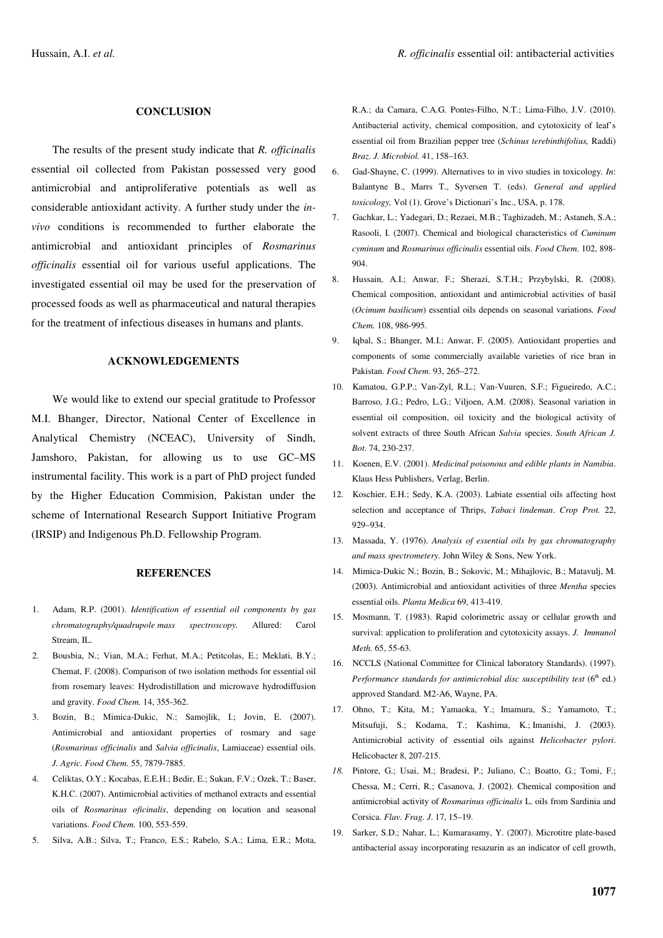#### **CONCLUSION**

The results of the present study indicate that *R. officinalis* essential oil collected from Pakistan possessed very good antimicrobial and antiproliferative potentials as well as considerable antioxidant activity. A further study under the *invivo* conditions is recommended to further elaborate the antimicrobial and antioxidant principles of *Rosmarinus officinalis* essential oil for various useful applications. The investigated essential oil may be used for the preservation of processed foods as well as pharmaceutical and natural therapies for the treatment of infectious diseases in humans and plants.

# **ACKNOWLEDGEMENTS**

We would like to extend our special gratitude to Professor M.I. Bhanger, Director, National Center of Excellence in Analytical Chemistry (NCEAC), University of Sindh, Jamshoro, Pakistan, for allowing us to use GC–MS instrumental facility. This work is a part of PhD project funded by the Higher Education Commision, Pakistan under the scheme of International Research Support Initiative Program (IRSIP) and Indigenous Ph.D. Fellowship Program.

#### **REFERENCES**

- 1. Adam, R.P. (2001). *Identification of essential oil components by gas chromatography/quadrupole mass spectroscopy.* Allured: Carol Stream, IL.
- 2. Bousbia, N.; Vian, M.A.; Ferhat, M.A.; Petitcolas, E.; Meklati, B.Y.; Chemat, F. (2008). Comparison of two isolation methods for essential oil from rosemary leaves: Hydrodistillation and microwave hydrodiffusion and gravity. *Food Chem.* 14, 355-362.
- 3. Bozin, B.; Mimica-Dukic, N.; Samojlik, I.; Jovin, E. (2007). Antimicrobial and antioxidant properties of rosmary and sage (*Rosmarinus officinalis* and *Salvia officinalis*, Lamiaceae) essential oils. *J. Agric. Food Chem.* 55, 7879-7885.
- 4. Celiktas, O.Y.; Kocabas, E.E.H.; Bedir, E.; Sukan, F.V.; Ozek, T.; Baser, K.H.C. (2007). Antimicrobial activities of methanol extracts and essential oils of *Rosmarinus oficinalis*, depending on location and seasonal variations. *Food Chem.* 100, 553-559.
- 5. Silva, A.B.; Silva, T.; Franco, E.S.; Rabelo, S.A.; Lima, E.R.; Mota,

R.A.; da Camara, C.A.G. Pontes-Filho, N.T.; Lima-Filho, J.V. (2010). Antibacterial activity, chemical composition, and cytotoxicity of leaf's essential oil from Brazilian pepper tree (*Schinus terebinthifolius,* Raddi) *Braz. J. Microbiol.* 41, 158–163.

- 6. Gad-Shayne, C. (1999). Alternatives to in vivo studies in toxicology. *In*: Balantyne B., Marrs T., Syversen T. (eds). *General and applied toxicology,* Vol (1). Grove's Dictionari's Inc., USA, p. 178.
- 7. Gachkar, L.; Yadegari, D.; Rezaei, M.B.; Taghizadeh, M.; Astaneh, S.A.; Rasooli, I. (2007). Chemical and biological characteristics of *Cuminum cyminum* and *Rosmarinus officinalis* essential oils. *Food Chem.* 102, 898- 904.
- 8. Hussain, A.I.; Anwar, F.; Sherazi, S.T.H.; Przybylski, R. (2008). Chemical composition, antioxidant and antimicrobial activities of basil (*Ocimum basilicum*) essential oils depends on seasonal variations. *Food Chem.* 108, 986-995.
- 9. Iqbal, S.; Bhanger, M.I.; Anwar, F. (2005). Antioxidant properties and components of some commercially available varieties of rice bran in Pakistan. *Food Chem*. 93, 265–272.
- 10. Kamatou, G.P.P.; Van-Zyl, R.L.; Van-Vuuren, S.F.; Figueiredo, A.C.; Barroso, J.G.; Pedro, L.G.; Viljoen, A.M. (2008). Seasonal variation in essential oil composition, oil toxicity and the biological activity of solvent extracts of three South African *Salvia* species. *South African J. Bot*. 74, 230-237.
- 11. Koenen, E.V. (2001). *Medicinal poisonous and edible plants in Namibia*. Klaus Hess Publishers, Verlag, Berlin.
- 12. Koschier, E.H.; Sedy, K.A. (2003). Labiate essential oils affecting host selection and acceptance of Thrips, *Tabaci lindeman*. *Crop Prot.* 22, 929–934.
- 13. Massada, Y. (1976). *Analysis of essential oils by gas chromatography and mass spectrometery.* John Wiley & Sons, New York.
- 14. Mimica-Dukic N.; Bozin, B.; Sokovic, M.; Mihajlovic, B.; Matavulj, M. (2003). Antimicrobial and antioxidant activities of three *Mentha* species essential oils. *Planta Medica* 69, 413-419.
- 15. Mosmann, T. (1983). Rapid colorimetric assay or cellular growth and survival: application to proliferation and cytotoxicity assays. *J. Immunol Meth.* 65, 55-63.
- 16. NCCLS (National Committee for Clinical laboratory Standards). (1997). *Performance standards for antimicrobial disc susceptibility test* (6 th ed.) approved Standard. M2-A6, Wayne, PA.
- 17. Ohno, T.; Kita, M.; Yamaoka, Y.; Imamura, S.; Yamamoto, T.; Mitsufuji, S.; Kodama, T.; Kashima, K.; Imanishi, J. (2003). Antimicrobial activity of essential oils against *Helicobacter pylori*. Helicobacter 8, 207-215.
- *18.* Pintore, G.; Usai, M.; Bradesi, P.; Juliano, C.; Boatto, G.; Tomi, F.; Chessa, M.; Cerri, R.; Casanova, J. (2002). Chemical composition and antimicrobial activity of *Rosmarinus officinalis* L. oils from Sardinia and Corsica. *Flav. Frag. J*. 17, 15–19.
- 19. Sarker, S.D.; Nahar, L.; Kumarasamy, Y. (2007). Microtitre plate-based antibacterial assay incorporating resazurin as an indicator of cell growth,